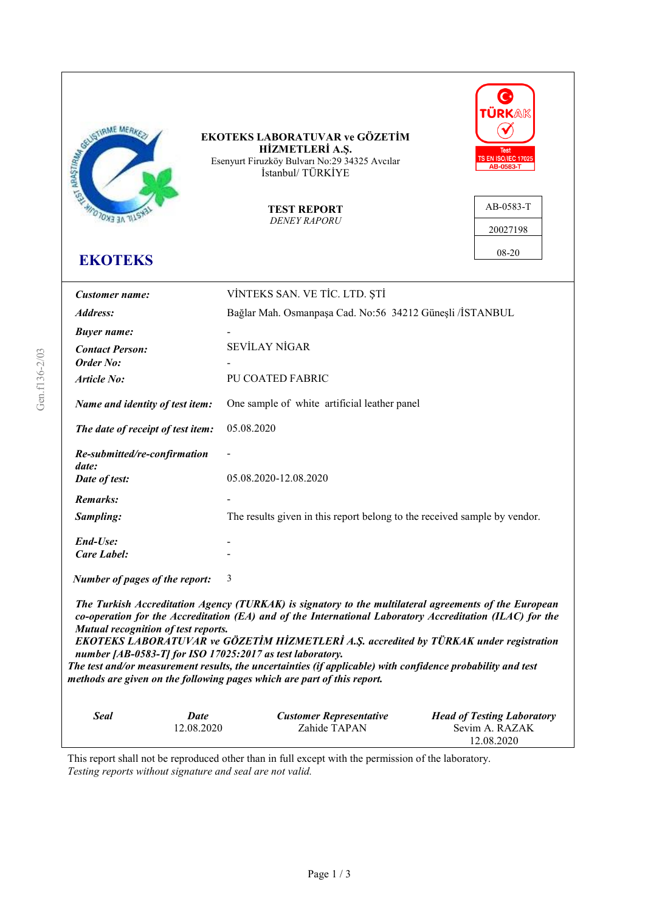

This report shall not be reproduced other than in full except with the permission of the laboratory. *Testing reports without signature and seal are not valid.*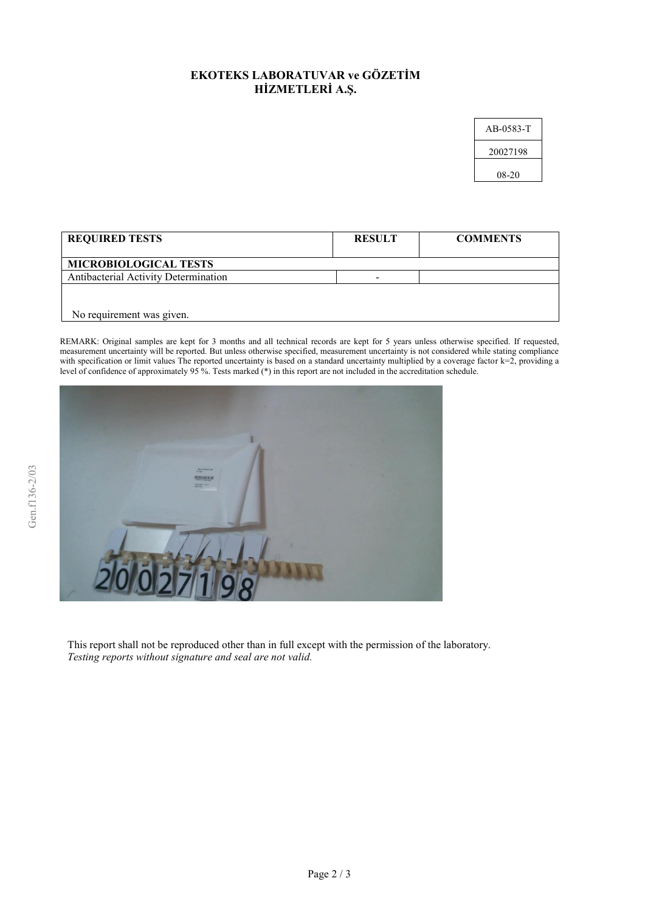## **EKOTEKS LABORATUVAR ve GÖZETİM HİZMETLERİ A.Ş.**

| AB-0583-T |
|-----------|
| 20027198  |
| 08-20     |

| <b>REQUIRED TESTS</b>                | <b>RESULT</b> | <b>COMMENTS</b> |
|--------------------------------------|---------------|-----------------|
| <b>MICROBIOLOGICAL TESTS</b>         |               |                 |
| Antibacterial Activity Determination |               |                 |
|                                      |               |                 |
|                                      |               |                 |
| No requirement was given.            |               |                 |

REMARK: Original samples are kept for 3 months and all technical records are kept for 5 years unless otherwise specified. If requested, measurement uncertainty will be reported. But unless otherwise specified, measurement uncertainty is not considered while stating compliance with specification or limit values The reported uncertainty is based on a standard uncertainty multiplied by a coverage factor k=2, providing a level of confidence of approximately 95 %. Tests marked (\*) in this report are not included in the accreditation schedule.



This report shall not be reproduced other than in full except with the permission of the laboratory. *Testing reports without signature and seal are not valid.*